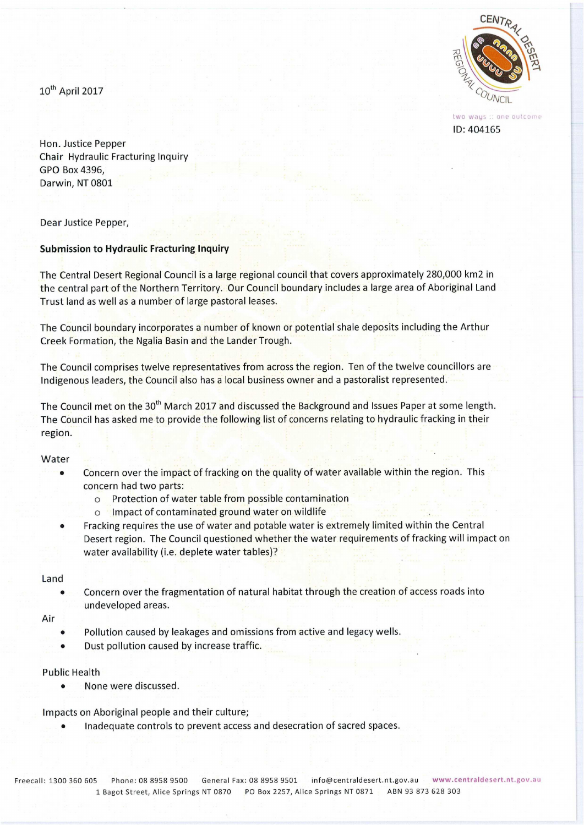Central Desert Regional Council CENT<sub>R</sub> Submission #76



two ways :: one outcome ID:404165

10<sup>th</sup> April 2017

Hon. Justice Pepper Chair Hydraulic Fracturing Inquiry GPO Box 4396, Darwin, NT 0801

Dear Justice Pepper,

# **Submission to Hydraulic Fracturing Inquiry**

The Central Desert Regional Council is a large regional council that covers approximately 280,000 km2 in the central part of the Northern Territory. Our Council boundary includes a large area of Aboriginal Land Trust land as well as a number of large pastoral leases.

The Council boundary incorporates a number of known or potential shale deposits including the Arthur Creek Formation, the Ngalia Basin and the Lander Trough.

The Council comprises twelve representatives from across the region. Ten of the twelve councillors are Indigenous leaders, the Council also has a local business owner and a pastoralist represented.

The Council met on the 30<sup>th</sup> March 2017 and discussed the Background and Issues Paper at some length. The Council has asked me to provide the following list of concerns relating to hydraulic fracking in their region.

## Water

- Concern over the impact of fracking on the quality of water available within the region. This concern had two parts:
	- o Protection of water table from possible contamination
	- o Impact of contaminated ground water on wildlife
- Fracking requires the use of water and potable water is extremely limited within the Central Desert region. The Council questioned whether the water requirements of fracking will impact on water availability (i.e. deplete water tables)?

# Land

• Concern over the fragmentation of natural habitat through the creation of access roads into undeveloped areas.

## Air

- Pollution caused by leakages and omissions from active and legacy wells.
- Dust pollution caused by increase traffic.

# Public Health

• None were discussed.

Impacts on Aboriginal people and their culture;

• Inadequate controls to prevent access and desecration of sacred spaces.